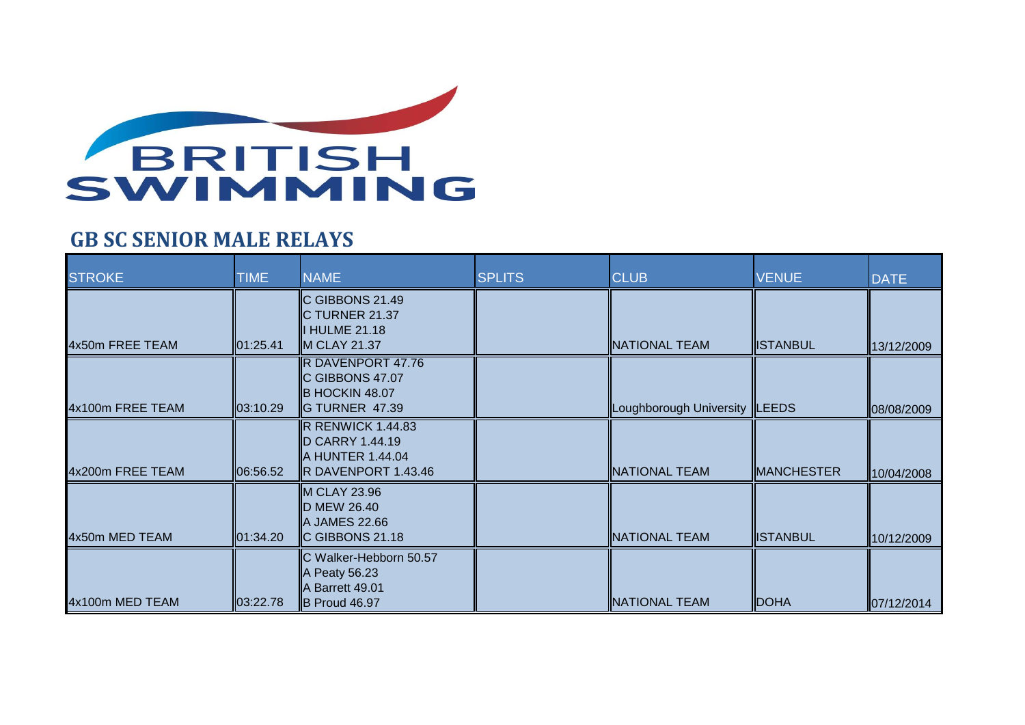

## **GB SC SENIOR MALE RELAYS**

| <b>STROKE</b>    | <b>TIME</b> | <b>NAME</b>                                                                            | <b>SPLITS</b> | <b>CLUB</b>             | <b>VENUE</b>      | <b>DATE</b> |
|------------------|-------------|----------------------------------------------------------------------------------------|---------------|-------------------------|-------------------|-------------|
| 4x50m FREE TEAM  | 01:25.41    | C GIBBONS 21.49<br>C TURNER 21.37<br>I HULME 21.18<br>M CLAY 21.37                     |               | NATIONAL TEAM           | <b>ISTANBUL</b>   | 13/12/2009  |
| 4x100m FREE TEAM | 03:10.29    | R DAVENPORT 47.76<br>C GIBBONS 47.07<br>B HOCKIN 48.07<br>G TURNER 47.39               |               | Loughborough University | <b>ILEEDS</b>     | 08/08/2009  |
| 4x200m FREE TEAM | 06:56.52    | R RENWICK 1.44.83<br>D CARRY 1.44.19<br>A HUNTER 1.44.04<br><b>R DAVENPORT 1.43.46</b> |               | NATIONAL TEAM           | <b>MANCHESTER</b> | 10/04/2008  |
| 4x50m MED TEAM   | 01:34.20    | <b>M CLAY 23.96</b><br>D MEW 26.40<br>A JAMES 22.66<br>C GIBBONS 21.18                 |               | NATIONAL TEAM           | <b>ISTANBUL</b>   | 10/12/2009  |
| 4x100m MED TEAM  | 03:22.78    | C Walker-Hebborn 50.57<br>A Peaty 56.23<br>A Barrett 49.01<br>B Proud 46.97            |               | <b>NATIONAL TEAM</b>    | <b>DOHA</b>       | 07/12/2014  |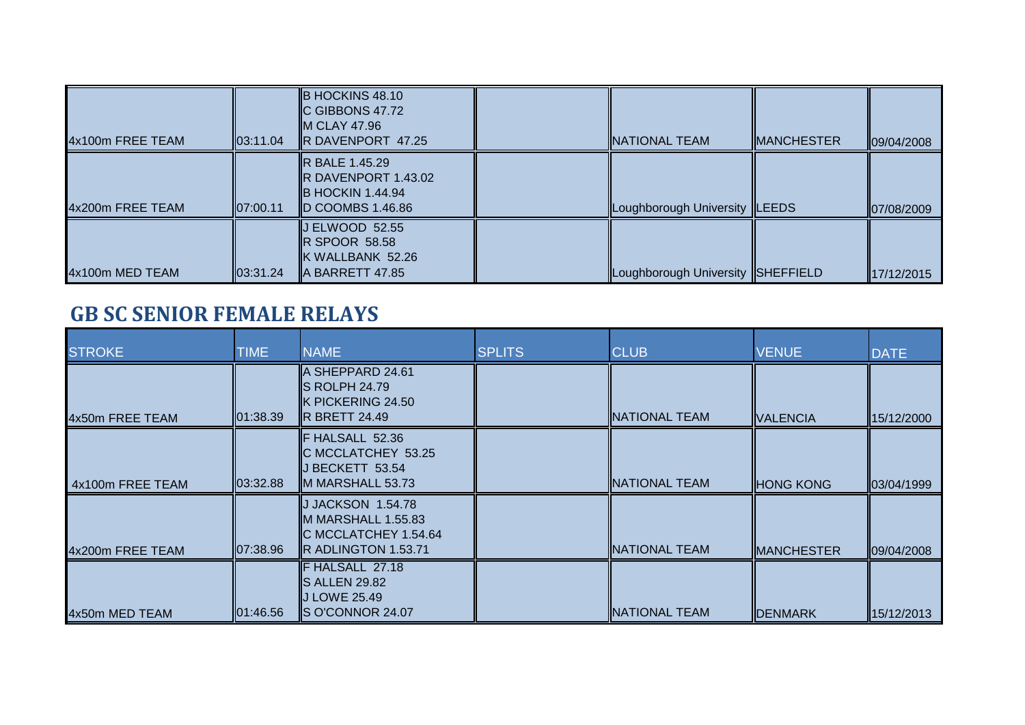| 4x100m FREE TEAM | 103:11.04 | <b>B HOCKINS 48.10</b><br><b>IC GIBBONS 47.72</b><br><b>M CLAY 47.96</b><br><b>R</b> DAVENPORT 47.25             | IINATIONAL TEAM                   | <b>IMANCHESTER</b> | 09/04/2008 |
|------------------|-----------|------------------------------------------------------------------------------------------------------------------|-----------------------------------|--------------------|------------|
| 4x200m FREE TEAM | 07:00.11  | <b>IR BALE 1.45.29</b><br><b>R DAVENPORT 1.43.02</b><br><b>IB HOCKIN 1.44.94</b><br>$\mathbb{ID}$ COOMBS 1.46.86 | Loughborough University  LEEDS    |                    | 07/08/2009 |
| 4x100m MED TEAM  | 103:31.24 | $\parallel$ J ELWOOD 52.55<br>$\overline{\mathbb{R}}$ SPOOR 58.58<br>K WALLBANK 52.26<br><b>A BARRETT 47.85</b>  | Loughborough University SHEFFIELD |                    | 17/12/2015 |

## **GB SC SENIOR FEMALE RELAYS**

| <b>STROKE</b>    | <b>TIME</b>       | <b>NAME</b>                                                                                              | <b>SPLITS</b> | <b>CLUB</b>           | <b>VENUE</b>      | <b>DATE</b> |
|------------------|-------------------|----------------------------------------------------------------------------------------------------------|---------------|-----------------------|-------------------|-------------|
| 4x50m FREE TEAM  | 01:38.39          | ∥A SHEPPARD 24.61<br><b>S ROLPH 24.79</b><br>K PICKERING 24.50<br><b>IR BRETT 24.49</b>                  |               | <b>INATIONAL TEAM</b> | <b>VALENCIA</b>   | 15/12/2000  |
| 4x100m FREE TEAM | 03:32.88          | F HALSALL 52.36<br>C MCCLATCHEY 53.25<br>BECKETT 53.54<br><b>II</b> M MARSHALL 53.73                     |               | INATIONAL TEAM        | <b>HONG KONG</b>  | 03/04/1999  |
| 4x200m FREE TEAM | 107:38.96         | J JACKSON 1.54.78<br><b>I</b> IM MARSHALL 1.55.83<br>C MCCLATCHEY 1.54.64<br><b>IR ADLINGTON 1.53.71</b> |               | INATIONAL TEAM        | <b>MANCHESTER</b> | 09/04/2008  |
| 4x50m MED TEAM   | <b>1</b> 01:46.56 | F HALSALL 27.18<br>S ALLEN 29.82<br><b>IJ LOWE 25.49</b><br><b>IS O'CONNOR 24.07</b>                     |               | INATIONAL TEAM        | <b>IDENMARK</b>   | 15/12/2013  |